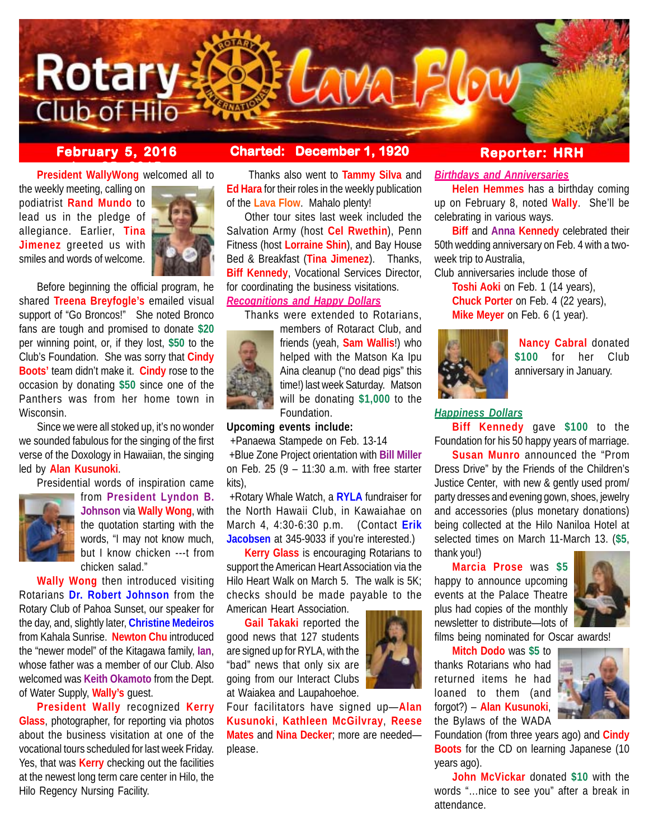

# **February 5, 2016 Charted: December 1, 1920**

**President WallyWong** welcomed all to

the weekly meeting, calling on podiatrist **Rand Mundo** to lead us in the pledge of allegiance. Earlier, **Tina Jimenez** greeted us with smiles and words of welcome.



Before beginning the official program, he shared **Treena Breyfogle's** emailed visual support of "Go Broncos!" She noted Bronco fans are tough and promised to donate **\$20** per winning point, or, if they lost, **\$50** to the Club's Foundation. She was sorry that **Cindy Boots'** team didn't make it. **Cindy** rose to the occasion by donating **\$50** since one of the Panthers was from her home town in Wisconsin.

Since we were all stoked up, it's no wonder we sounded fabulous for the singing of the first verse of the Doxology in Hawaiian, the singing led by **Alan Kusunoki**.

Presidential words of inspiration came



from **President Lyndon B. Johnson** via **Wally Wong**, with the quotation starting with the words, "I may not know much, but I know chicken ---t from chicken salad."

**Wally Wong** then introduced visiting Rotarians **Dr. Robert Johnson** from the Rotary Club of Pahoa Sunset, our speaker for the day, and, slightly later, **Christine Medeiros** from Kahala Sunrise. **Newton Chu** introduced the "newer model" of the Kitagawa family, **Ian**, whose father was a member of our Club. Also welcomed was **Keith Okamoto** from the Dept. of Water Supply, **Wally's** guest.

**President Wally** recognized **Kerry Glass**, photographer, for reporting via photos about the business visitation at one of the vocational tours scheduled for last week Friday. Yes, that was **Kerry** checking out the facilities at the newest long term care center in Hilo, the Hilo Regency Nursing Facility.

 Thanks also went to **Tammy Silva** and **Ed Hara** for their roles in the weekly publication of the **Lava Flow**. Mahalo plenty!

Other tour sites last week included the Salvation Army (host **Cel Rwethin**), Penn Fitness (host **Lorraine Shin**), and Bay House Bed & Breakfast (**Tina Jimenez**). Thanks, **Biff Kennedy**, Vocational Services Director, for coordinating the business visitations. *Recognitions and Happy Dollars*

Thanks were extended to Rotarians,



members of Rotaract Club, and friends (yeah, **Sam Wallis**!) who helped with the Matson Ka Ipu Aina cleanup ("no dead pigs" this time!) last week Saturday. Matson will be donating **\$1,000** to the Foundation.

# **Upcoming events include:**

+Panaewa Stampede on Feb. 13-14

 +Blue Zone Project orientation with **Bill Miller** on Feb. 25 (9 – 11:30 a.m. with free starter kits),

 +Rotary Whale Watch, a **RYLA** fundraiser for the North Hawaii Club, in Kawaiahae on March 4, 4:30-6:30 p.m. (Contact **Erik Jacobsen** at 345-9033 if you're interested.)

**Kerry Glass** is encouraging Rotarians to support the American Heart Association via the Hilo Heart Walk on March 5. The walk is 5K; checks should be made payable to the American Heart Association.

**Gail Takaki** reported the good news that 127 students are signed up for RYLA, with the "bad" news that only six are going from our Interact Clubs at Waiakea and Laupahoehoe.

Four facilitators have signed up—**Alan Kusunoki**, **Kathleen McGilvray**, **Reese Mates** and **Nina Decker**; more are needed please.



# **Reporter: HRH**

# *Birthdays and Anniversaries*

**Helen Hemmes** has a birthday coming up on February 8, noted **Wally**. She'll be celebrating in various ways.

**Biff** and **Anna Kennedy** celebrated their 50th wedding anniversary on Feb. 4 with a twoweek trip to Australia.

Club anniversaries include those of **Toshi Aoki** on Feb. 1 (14 years), **Chuck Porter** on Feb. 4 (22 years), **Mike Meyer** on Feb. 6 (1 year).



**Nancy Cabral** donated **\$100** for her Club anniversary in January.

### *Happiness Dollars*

**Biff Kennedy** gave **\$100** to the Foundation for his 50 happy years of marriage.

**Susan Munro** announced the "Prom Dress Drive" by the Friends of the Children's Justice Center, with new & gently used prom/ party dresses and evening gown, shoes, jewelry and accessories (plus monetary donations) being collected at the Hilo Naniloa Hotel at selected times on March 11-March 13. (**\$5**, thank you!)

**Marcia Prose** was **\$5** happy to announce upcoming events at the Palace Theatre plus had copies of the monthly newsletter to distribute—lots of



films being nominated for Oscar awards!

**Mitch Dodo** was **\$5** to thanks Rotarians who had returned items he had loaned to them (and forgot?) – **Alan Kusunoki**, the Bylaws of the WADA



Foundation (from three years ago) and **Cindy Boots** for the CD on learning Japanese (10 years ago).

**John McVickar** donated **\$10** with the words "…nice to see you" after a break in attendance.